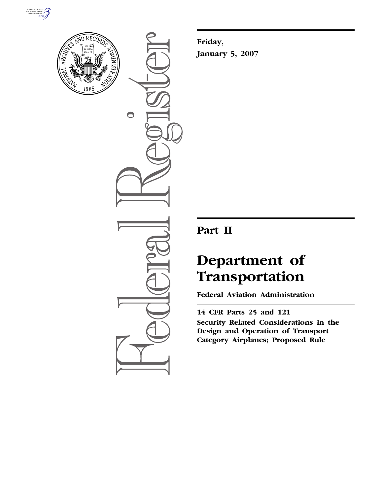



 $\bigcirc$ 

**Friday, January 5, 2007** 

# **Part II**

# **Department of Transportation**

**Federal Aviation Administration** 

**14 CFR Parts 25 and 121 Security Related Considerations in the Design and Operation of Transport Category Airplanes; Proposed Rule**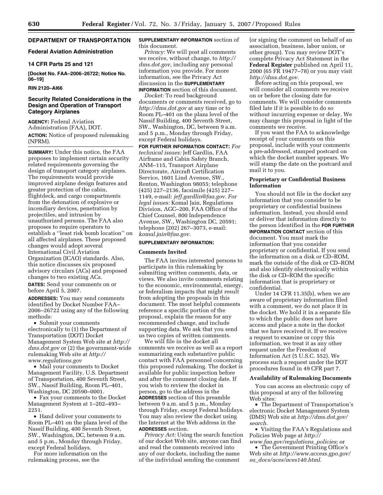# **DEPARTMENT OF TRANSPORTATION**

#### **Federal Aviation Administration**

#### **14 CFR Parts 25 and 121**

**[Docket No. FAA–2006–26722; Notice No. 06–19]** 

#### **RIN 2120–AI66**

# **Security Related Considerations in the Design and Operation of Transport Category Airplanes**

**AGENCY:** Federal Aviation Administration (FAA), DOT. **ACTION:** Notice of proposed rulemaking (NPRM).

**SUMMARY:** Under this notice, the FAA proposes to implement certain security related requirements governing the design of transport category airplanes. The requirements would provide improved airplane design features and greater protection of the cabin, flightdeck, and cargo compartments from the detonation of explosive or incendiary devices, penetration by projectiles, and intrusion by unauthorized persons. The FAA also proposes to require operators to establish a ''least risk bomb location'' on all affected airplanes. These proposed changes would adopt several International Civil Aviation Organization (ICAO) standards. Also, this notice discusses six proposed advisory circulars (ACs) and proposed changes to two existing ACs.

**DATES:** Send your comments on or before April 5, 2007.

**ADDRESSES:** You may send comments identified by Docket Number FAA– 2006–26722 using any of the following methods:

• Submit your comments electronically to (1) the Department of Transportation (DOT) Docket Management System Web site at *http:// dms.dot.gov* or (2) the government-wide rulemaking Web site at *http:// www.regulations.gov* 

• Mail your comments to Docket Management Facility, U.S. Department of Transportation, 400 Seventh Street, SW., Nassif Building, Room PL–401, Washington, DC 20590–0001.

• Fax your comments to the Docket Management System at 1–202–493– 2251.

• Hand deliver your comments to Room PL–401 on the plaza level of the Nassif Building, 400 Seventh Street, SW., Washington, DC, between 9 a.m. and 5 p.m., Monday through Friday, except Federal holidays.

For more information on the rulemaking process, see the

## **SUPPLEMENTARY INFORMATION** section of this document.

*Privacy:* We will post all comments we receive, without change, to *http:// dms.dot.gov,* including any personal information you provide. For more information, see the Privacy Act discussion in the **SUPPLEMENTARY INFORMATION** section of this document.

*Docket:* To read background documents or comments received, go to *http://dms.dot.gov* at any time or to Room PL–401 on the plaza level of the Nassif Building, 400 Seventh Street, SW., Washington, DC, between 9 a.m. and 5 p.m., Monday through Friday, except Federal holidays.

**FOR FURTHER INFORMATION CONTACT:** *For technical issues:* Jeff Gardlin, FAA Airframe and Cabin Safety Branch, ANM–115, Transport Airplane Directorate, Aircraft Certification Service, 1601 Lind Avenue, SW., Renton, Washington 98055; telephone (425) 227–2136, facsimile (425) 227– 1149, e-mail: *jeff.gardlin@faa.gov. For legal issues:* Komal Jain, Regulations Division, AGC–200, FAA Office of the Chief Counsel, 800 Independence Avenue, SW., Washington DC, 20591; telephone (202) 267–3073, e-mail: *komal.jain@faa.gov.* 

#### **SUPPLEMENTARY INFORMATION:**

#### **Comments Invited**

The FAA invites interested persons to participate in this rulemaking by submitting written comments, data, or views. We also invite comments relating to the economic, environmental, energy, or federalism impacts that might result from adopting the proposals in this document. The most helpful comments reference a specific portion of the proposal, explain the reason for any recommended change, and include supporting data. We ask that you send us two copies of written comments.

We will file in the docket all comments we receive as well as a report summarizing each substantive public contact with FAA personnel concerning this proposed rulemaking. The docket is available for public inspection before and after the comment closing date. If you wish to review the docket in person, go to the address in the **ADDRESSES** section of this preamble between 9 a.m. and 5 p.m., Monday through Friday, except Federal holidays. You may also review the docket using the Internet at the Web address in the **ADDRESSES** section.

*Privacy Act:* Using the search function of our docket Web site, anyone can find and read the comments received into any of our dockets, including the name of the individual sending the comment

(or signing the comment on behalf of an association, business, labor union, or other group). You may review DOT's complete Privacy Act Statement in the **Federal Register** published on April 11, 2000 (65 FR 19477–78) or you may visit *http://dms.dot.gov.* 

Before acting on this proposal, we will consider all comments we receive on or before the closing date for comments. We will consider comments filed late if it is possible to do so without incurring expense or delay. We may change this proposal in light of the comments we receive.

If you want the FAA to acknowledge receipt of your comments on this proposal, include with your comments a pre-addressed, stamped postcard on which the docket number appears. We will stamp the date on the postcard and mail it to you.

## **Proprietary or Confidential Business Information**

You should not file in the docket any information that you consider to be proprietary or confidential business information. Instead, you should send or deliver that information directly to the person identified in the **FOR FURTHER INFORMATION CONTACT** section of this document. You must mark the information that you consider proprietary or confidential. If you send the information on a disk or CD–ROM, mark the outside of the disk or CD–ROM and also identify electronically within the disk or CD–ROM the specific information that is proprietary or confidential.

Under 14 CFR 11.35(b), when we are aware of proprietary information filed with a comment, we do not place it in the docket. We hold it in a separate file to which the public does not have access and place a note in the docket that we have received it. If we receive a request to examine or copy this information, we treat it as any other request under the Freedom of Information Act (5 U.S.C. 552). We process such a request under the DOT procedures found in 49 CFR part 7.

# **Availability of Rulemaking Documents**

You can access an electronic copy of this proposal at any of the following Web sites:

• The Department of Transportation's electronic Docket Management System (DMS) Web site at *http://dms.dot.gov/ search.* 

• Visiting the FAA's Regulations and Policies Web page at *http:// www.faa.gov/regulations*\_*policies*; or

• The Government Printing Office's Web site at *http://www.access.gpo.gov/ su*\_*docs/aces/aces140.html.*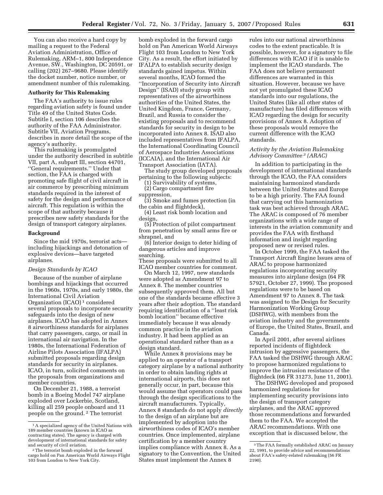You can also receive a hard copy by mailing a request to the Federal Aviation Administration, Office of Rulemaking, ARM–1, 800 Independence Avenue, SW., Washington, DC 20591, or calling (202) 267–9680. Please identify the docket number, notice number, or amendment number of this rulemaking.

#### **Authority for This Rulemaking**

The FAA's authority to issue rules regarding aviation safety is found under Title 49 of the United States Code. Subtitle I, section 106 describes the authority of the FAA Administrator. Subtitle VII, Aviation Programs, describes in more detail the scope of the agency's authority.

This rulemaking is promulgated under the authority described in subtitle VII, part A, subpart III, section 44701, ''General requirements.'' Under that section, the FAA is charged with promoting safe flight of civil aircraft in air commerce by prescribing minimum standards required in the interest of safety for the design and performance of aircraft. This regulation is within the scope of that authority because it prescribes new safety standards for the design of transport category airplanes.

#### **Background**

Since the mid 1970s, terrorist acts including hijackings and detonation of explosive devices—have targeted airplanes.

#### *Design Standards by ICAO*

Because of the number of airplane bombings and hijackings that occurred in the 1960s, 1970s, and early 1980s, the International Civil Aviation Organization (ICAO) 1 considered several proposals to incorporate security safeguards into the design of new airplanes. ICAO has adopted in Annex 8 airworthiness standards for airplanes that carry passengers, cargo, or mail in international air navigation. In the 1980s, the International Federation of Airline Pilots Association (IFALPA) submitted proposals regarding design standards for security in airplanes. ICAO, in turn, solicited comments on the proposals from organizations and member countries.

On December 21, 1988, a terrorist bomb in a Boeing Model 747 airplane exploded over Lockerbie, Scotland, killing all 259 people onboard and 11 people on the ground. 2 The terrorist

bomb exploded in the forward cargo hold on Pan American World Airways Flight 103 from London to New York City. As a result, the effort initiated by IFALPA to establish security design standards gained impetus. Within several months, ICAO formed the ''Incorporation of Security into Aircraft Design'' (ISAD) study group with representatives of the airworthiness authorities of the United States, the United Kingdom, France, Germany, Brazil, and Russia to consider the existing proposals and to recommend standards for security in design to be incorporated into Annex 8. ISAD also included representatives from IFALPA, the International Coordinating Council of Aerospace Industries Associations (ICCAIA), and the International Air Transport Association (IATA).

The study group developed proposals pertaining to the following subjects:

(1) Survivability of systems, (2) Cargo compartment fire

suppression,

(3) Smoke and fumes protection (in the cabin and flightdeck),

(4) Least risk bomb location and design,

(5) Protection of pilot compartment from penetration by small arms fire or shrapnel, and

(6) Interior design to deter hiding of dangerous articles and improve searching.

These proposals were submitted to all ICAO member countries for comment.

On March 12, 1997, new standards were adopted as Amendment 97 to Annex 8. The member countries subsequently approved them. All but one of the standards became effective 3 years after their adoption. The standard requiring identification of a ''least risk bomb location'' became effective immediately because it was already common practice in the aviation industry. It had been applied as an operational standard rather than as a design standard.

While Annex 8 provisions may be applied to an operator of a transport category airplane by a national authority in order to obtain landing rights at international airports, this does not generally occur, in part, because this would assume that operators could pass through the design specifications to the aircraft manufacturers. Typically, Annex 8 standards do not apply *directly*  to the design of an airplane but are implemented by adoption into the airworthiness codes of ICAO's member countries. Once implemented, airplane certification by a member country implies compliance with Annex 8. As a signatory to the Convention, the United States must implement the Annex 8

rules into our national airworthiness codes to the extent practicable. It is possible, however, for a signatory to file differences with ICAO if it is unable to implement the ICAO standards. The FAA does not believe permanent differences are warranted in this situation. However, because we have not yet promulgated these ICAO standards into our regulations, the United States (like all other states of manufacture) has filed differences with ICAO regarding the design for security provisions of Annex 8. Adoption of these proposals would remove the current difference with the ICAO standards.

#### *Activity by the Aviation Rulemaking Advisory Committee 3 (ARAC)*

In addition to participating in the development of international standards through the ICAO, the FAA considers maintaining harmonized standards between the United States and Europe to be a high priority. The FAA found that carrying out this harmonization task was best achieved through ARAC. The ARAC is composed of 76 member organizations with a wide range of interests in the aviation community and provides the FAA with firsthand information and insight regarding proposed new or revised rules.

In October 1999, the FAA tasked the Transport Aircraft Engine Issues area of ARAC to propose harmonized regulations incorporating security measures into airplane design (64 FR 57921, October 27, 1999). The proposed regulations were to be based on Amendment 97 to Annex 8. The task was assigned to the Design for Security Harmonization Working Group (DSHWG), with members from the aviation industry and the governments of Europe, the United States, Brazil, and Canada.

In April 2001, after several airlines reported incidents of flightdeck intrusion by aggressive passengers, the FAA tasked the DSHWG through ARAC to propose harmonized regulations to improve the intrusion resistance of the flightdeck (66 FR 31273, June 11, 2001).

The DSHWG developed and proposed harmonized regulations for implementing security provisions into the design of transport category airplanes, and the ARAC approved those recommendations and forwarded them to the FAA. We accepted the ARAC recommendations. With one exception that is discussed below, the

<sup>&</sup>lt;sup>1</sup> A specialized agency of the United Nations with 189 member countries (known in ICAO as contracting states). The agency is charged with development of international standards for safety<br>and security of civil aviation.

<sup>&</sup>lt;sup>2</sup> The terrorist bomb exploded in the forward cargo hold on Pan American World Airways Flight 103 from London to New York City.

<sup>3</sup>The FAA formally established ARAC on January 22, 1991, to provide advice and recommendations about FAA's safety-related rulemaking (56 FR 2190).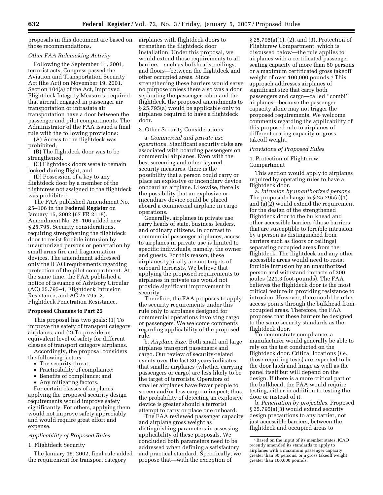proposals in this document are based on those recommendations.

## *Other FAA Rulemaking Activity*

Following the September 11, 2001, terrorist acts, Congress passed the Aviation and Transportation Security Act (the Act) on November 19, 2001. Section 104(a) of the Act, Improved Flightdeck Integrity Measures, required that aircraft engaged in passenger air transportation or intrastate air transportation have a door between the passenger and pilot compartments. The Administrator of the FAA issued a final rule with the following provisions:

(A) Access to the flightdeck was prohibited,

(B) The flightdeck door was to be strengthened,

(C) Flightdeck doors were to remain locked during flight, and

(D) Possession of a key to any flightdeck door by a member of the flightcrew not assigned to the flightdeck was prohibited.

The FAA published Amendment No. 25–106 in the **Federal Register** on January 15, 2002 (67 FR 2118). Amendment No. 25–106 added new § 25.795, Security considerations, requiring strengthening the flightdeck door to resist forcible intrusion by unauthorized persons or penetration by small arms fire and fragmentation devices. The amendment addressed only the ICAO requirements regarding protection of the pilot compartment. At the same time, the FAA published a notice of issuance of Advisory Circular (AC) 25.795–1, Flightdeck Intrusion Resistance, and AC 25.795–2, Flightdeck Penetration Resistance.

#### **Proposed Changes to Part 25**

This proposal has two goals: (1) To improve the safety of transport category airplanes, and (2) To provide an equivalent level of safety for different classes of transport category airplanes.

Accordingly, the proposal considers the following factors:

- The security threat;
- Practicability of compliance;
- Benefits of compliance; and
- Any mitigating factors.

For certain classes of airplanes, applying the proposed security design requirements would improve safety significantly. For others, applying them would not improve safety appreciably and would require great effort and expense.

# *Applicability of Proposed Rules*

1. Flightdeck Security

The January 15, 2002, final rule added the requirement for transport category

airplanes with flightdeck doors to strengthen the flightdeck door installation. Under this proposal, we would extend those requirements to all barriers—such as bulkheads, ceilings, and floors—between the flightdeck and other occupied areas. Since strengthening these barriers would serve no purpose unless there also was a door separating the passenger cabin and the flightdeck, the proposed amendments to § 25.795(a) would be applicable only to airplanes required to have a flightdeck door.

# 2. Other Security Considerations

a. *Commercial and private use operations.* Significant security risks are associated with boarding passengers on commercial airplanes. Even with the best screening and other layered security measures, there is the possibility that a person could carry or place an explosive or incendiary device onboard an airplane. Likewise, there is the possibility that an explosive or incendiary device could be placed aboard a commercial airplane in cargo operations.

Generally, airplanes in private use carry heads of state, business leaders, and ordinary citizens. In contrast to commercial passenger airplanes, access to airplanes in private use is limited to specific individuals, namely, the owner and guests. For this reason, these airplanes typically are not targets of onboard terrorists. We believe that applying the proposed requirements to airplanes in private use would not provide significant improvement in security.

Therefore, the FAA proposes to apply the security requirements under this rule only to airplanes designed for commercial operations involving cargo or passengers. We welcome comments regarding applicability of the proposed rule.

b. *Airplane Size.* Both small and large airplanes transport passengers and cargo. Our review of security-related events over the last 30 years indicates that smaller airplanes (whether carrying passengers or cargo) are less likely to be the target of terrorists. Operators of smaller airplanes have fewer people to screen and/or less cargo to inspect; thus, the probability of detecting an explosive device is greater should a terrorist attempt to carry or place one onboard.

The FAA reviewed passenger capacity and airplane gross weight as distinguishing parameters in assessing applicability of these proposals. We concluded both parameters need to be addressed when defining a satisfactory and practical standard. Specifically, we propose that—with the exception of

§ 25.795(a)(1), (2), and (3), Protection of Flightcrew Compartment, which is discussed below—the rule applies to airplanes with a certificated passenger seating capacity of more than 60 persons or a maximum certificated gross takeoff weight of over 100,000 pounds.4 This approach addresses airplanes of significant size that carry both passengers and cargo—called ''combi'' airplanes—because the passenger capacity alone may not trigger the proposed requirements. We welcome comments regarding the applicability of this proposed rule to airplanes of different seating capacity or gross takeoff weight.

#### *Provisions of Proposed Rules*

1. Protection of Flightcrew Compartment

This section would apply to airplanes required by operating rules to have a flightdeck door.

a. *Intrusion by unauthorized persons.*  The proposed change to § 25.795(a)(1) and (a)(2) would extend the requirement for the design of the strengthened flightdeck door to the bulkhead and other accessible barriers (those barriers that are susceptible to forcible intrusion by a person as distinguished from barriers such as floors or ceilings) separating occupied areas from the flightdeck. The flightdeck and any other accessible areas would need to resist forcible intrusion by an unauthorized person and withstand impacts of 300 joules (221.3 foot-pounds). The FAA believes the flightdeck door is the most critical feature in providing resistance to intrusion. However, there could be other access points through the bulkhead from occupied areas. Therefore, the FAA proposes that these barriers be designed to the same security standards as the flightdeck door.

To demonstrate compliance, a manufacturer would generally be able to rely on the test conducted on the flightdeck door. Critical locations (*i.e.*, those requiring tests) are expected to be the door latch and hinge as well as the panel itself but will depend on the design. If there is a more critical part of the bulkhead, the FAA would require testing, either in addition to testing the door or instead of it.

b. *Penetration by projectiles.* Proposed § 25.795(a)(3) would extend security design precautions to any barrier, not just accessible barriers, between the flightdeck and occupied areas to

<sup>4</sup>Based on the input of its member states, ICAO recently amended its standards to apply to airplanes with a maximum passenger capacity greater than 60 persons, or a gross takeoff weight greater than 100,000 pounds.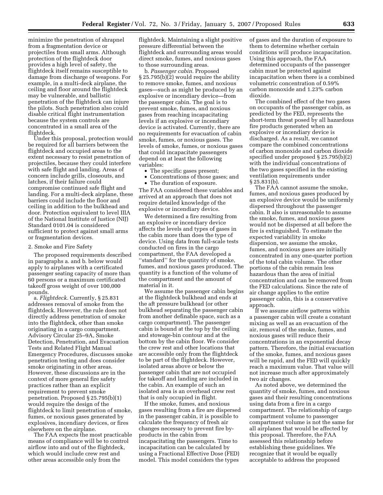minimize the penetration of shrapnel from a fragmentation device or projectiles from small arms. Although protection of the flightdeck door provides a high level of safety, the flightdeck itself remains susceptible to damage from discharge of weapons. For example, in a multi-deck airplane, the ceiling and floor around the flightdeck may be vulnerable, and ballistic penetration of the flightdeck can injure the pilots. Such penetration also could disable critical flight instrumentation because the system controls are concentrated in a small area of the flightdeck.

Under this proposal, protection would be required for all barriers between the flightdeck and occupied areas to the extent necessary to resist penetration of projectiles, because they could interfere with safe flight and landing. Areas of concern include grills, closeouts, and latches, if their failure could compromise continued safe flight and landing. For a multi-deck airplane, these barriers could include the floor and ceiling in addition to the bulkhead and door. Protection equivalent to level IIIA of the National Institute of Justice (NIJ) Standard 0101.04 is considered sufficient to protect against small arms or fragmentation devices.

#### 2. Smoke and Fire Safety

The proposed requirements described in paragraphs a. and b. below would apply to airplanes with a certificated passenger seating capacity of more than 60 persons or a maximum certificated takeoff gross weight of over 100,000 pounds.

a. *Flightdeck.* Currently, § 25.831 addresses removal of smoke from the flightdeck. However, the rule does not directly address penetration of smoke into the flightdeck, other than smoke originating in a cargo compartment. Advisory Circular 25–9A, Smoke Detection, Penetration, and Evacuation Tests and Related Flight Manual Emergency Procedures, discusses smoke penetration testing and does consider smoke originating in other areas. However, these discussions are in the context of more general fire safety practices rather than an explicit requirement to prevent smoke penetration. Proposed § 25.795(b)(1) would require the design of the flightdeck to limit penetration of smoke, fumes, or noxious gases generated by explosives, incendiary devices, or fires elsewhere on the airplane.

The FAA expects the most practicable means of compliance will be to control airflow into and out of the flightdeck, which would include crew rest and other areas accessible only from the

flightdeck. Maintaining a slight positive pressure differential between the flightdeck and surrounding areas would direct smoke, fumes, and noxious gases to those surrounding areas.

b. *Passenger cabin.* Proposed § 25.795(b)(2) would require the ability to remove smoke, fumes, and noxious gases—such as might be produced by an explosive or incendiary device—from the passenger cabin. The goal is to prevent smoke, fumes, and noxious gases from reaching incapacitating levels if an explosive or incendiary device is activated. Currently, there are no requirements for evacuation of cabin smoke, fumes, or noxious gases. The levels of smoke, fumes, or noxious gases that could incapacitate passengers depend on at least the following variables:

- The specific gases present;
- Concentrations of those gases; and
- The duration of exposure.

The FAA considered these variables and arrived at an approach that does not require detailed knowledge of the explosive or incendiary device.

We determined a fire resulting from an explosive or incendiary device affects the levels and types of gases in the cabin more than does the type of device. Using data from full-scale tests conducted on fires in the cargo compartment, the FAA developed a ''standard'' for the quantity of smoke, fumes, and noxious gases produced. The quantity is a function of the volume of the compartment and the amount of material in it.

We assume the passenger cabin begins at the flightdeck bulkhead and ends at the aft pressure bulkhead (or other bulkhead separating the passenger cabin from another definable space, such as a cargo compartment). The passenger cabin is bound at the top by the ceiling and stowage-bin contour and at the bottom by the cabin floor. We consider the crew rest and other locations that are accessible only from the flightdeck to be part of the flightdeck. However, isolated areas above or below the passenger cabin that are not occupied for takeoff and landing are included in the cabin. An example of such an isolated area is an overhead crew rest that is only occupied in flight.

If the smoke, fumes, and noxious gases resulting from a fire are dispersed in the passenger cabin, it is possible to calculate the frequency of fresh air changes necessary to prevent fire byproducts in the cabin from incapacitating the passengers. Time to incapacitation can be calculated by using a Fractional Effective Dose (FED) model. This model considers the types

of gases and the duration of exposure to them to determine whether certain conditions will produce incapacitation. Using this approach, the FAA determined occupants of the passenger cabin must be protected against incapacitation when there is a combined volumetric concentration of 0.59% carbon monoxide and 1.23% carbon dioxide.

The combined effect of the two gases on occupants of the passenger cabin, as predicted by the FED, represents the short-term threat posed by all hazardous fire products generated when an explosive or incendiary device is discharged. As a result, we cannot compare the combined concentrations of carbon monoxide and carbon dioxide specified under proposed § 25.795(b)(2) with the individual concentrations of the two gases specified in the existing ventilation requirements under § 25.831(b).

The FAA cannot assume the smoke, fumes, and noxious gases produced by an explosive device would be uniformly dispersed throughout the passenger cabin. It also is unreasonable to assume the smoke, fumes, and noxious gases would not be dispersed at all before the fire is extinguished. To estimate the expected variability in smoke dispersion, we assume the smoke, fumes, and noxious gases are initially concentrated in any one-quarter portion of the total cabin volume. The other portions of the cabin remain less hazardous than the area of initial concentration and can be removed from the FED calculations. Since the rate of air change applies to the entire passenger cabin, this is a conservative approach.

If we assume airflow patterns within a passenger cabin will create a constant mixing as well as an evacuation of the air, removal of the smoke, fumes, and noxious gases will reduce their concentrations in an exponential decay pattern. Therefore, the initial evacuation of the smoke, fumes, and noxious gases will be rapid, and the FED will quickly reach a maximum value. That value will not increase much after approximately two air changes.

As noted above, we determined the quantity of smoke, fumes, and noxious gases and their resulting concentrations using data from a fire in a cargo compartment. The relationship of cargo compartment volume to passenger compartment volume is not the same for all airplanes that would be affected by this proposal. Therefore, the FAA assessed this relationship before establishing these guidelines. We recognize that it would be equally acceptable to address the proposed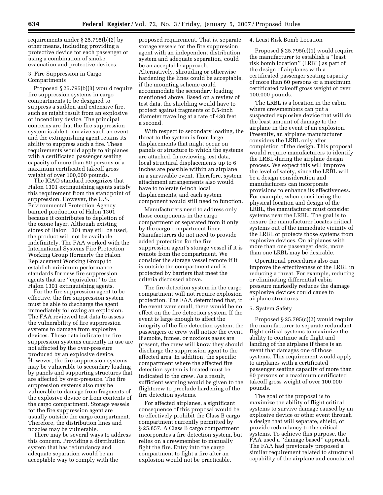requirements under § 25.795(b)(2) by other means, including providing a protective device for each passenger or using a combination of smoke evacuation and protective devices.

#### 3. Fire Suppression in Cargo Compartments

Proposed § 25.795(b)(3) would require fire suppression systems in cargo compartments to be designed to suppress a sudden and extensive fire, such as might result from an explosive or incendiary device. The principal concerns are that the fire suppression system is able to survive such an event and the extinguishing agent retains its ability to suppress such a fire. These requirements would apply to airplanes with a certificated passenger seating capacity of more than 60 persons or a maximum certificated takeoff gross weight of over 100,000 pounds.

The ICAO standard recognizes that Halon 1301 extinguishing agents satisfy this requirement from the standpoint of suppression. However, the U.S. Environmental Protection Agency banned production of Halon 1301 because it contributes to depletion of the ozone layer. Although existing stores of Halon 1301 may still be used, the product will not be available indefinitely. The FAA worked with the International Systems Fire Protection Working Group (formerly the Halon Replacement Working Group) to establish minimum performance standards for new fire suppression agents that are ''equivalent'' to the Halon 1301 extinguishing agents.

For the fire suppression agent to be effective, the fire suppression system must be able to discharge the agent immediately following an explosion. The FAA reviewed test data to assess the vulnerability of fire suppression systems to damage from explosive devices. These data indicate the fire suppression systems currently in use are not affected by the over-pressure produced by an explosive device. However, the fire suppression systems may be vulnerable to secondary loading by panels and supporting structures that are affected by over-pressure. The fire suppression systems also may be vulnerable to damage from fragments of the explosive device or from contents of the cargo compartment. Storage vessels for the fire suppression agent are usually outside the cargo compartment. Therefore, the distribution lines and nozzles may be vulnerable.

There may be several ways to address this concern. Providing a distribution system that has redundancy and adequate separation would be an acceptable way to comply with the

proposed requirement. That is, separate storage vessels for the fire suppression agent with an independent distribution system and adequate separation, could be an acceptable approach. Alternatively, shrouding or otherwise hardening the lines could be acceptable, if the mounting scheme could accommodate the secondary loading mentioned above. Based on a review of test data, the shielding would have to protect against fragments of 0.5-inch diameter traveling at a rate of 430 feet a second.

With respect to secondary loading, the threat to the system is from large displacements that might occur on panels or structure to which the systems are attached. In reviewing test data, local structural displacements up to 6 inches are possible within an airplane in a survivable event. Therefore, system attachment arrangements also would have to tolerate 6-inch local displacements, and each system component would still need to function.

Manufacturers need to address only those components in the cargo compartment or separated from it only by the cargo compartment liner. Manufacturers do not need to provide added protection for the fire suppression agent's storage vessel if it is remote from the compartment. We consider the storage vessel remote if it is outside the compartment and is protected by barriers that meet the criteria discussed above.

The fire detection system in the cargo compartment will not require explosion protection. The FAA determined that, if the event were small, there would be no effect on the fire detection system. If the event is large enough to affect the integrity of the fire detection system, the passengers or crew will notice the event. If smoke, fumes, or noxious gases are present, the crew will know they should discharge the suppression agent to the affected area. In addition, the specific compartment where the affected fire detection system is located must be indicated to the crew. As a result, sufficient warning would be given to the flightcrew to preclude hardening of the fire detection systems.

For affected airplanes, a significant consequence of this proposal would be to effectively prohibit the Class B cargo compartment currently permitted by § 25.857. A Class B cargo compartment incorporates a fire detection system, but relies on a crewmember to manually fight the fire. Entry into the cargo compartment to fight a fire after an explosion would not be practicable.

#### 4. Least Risk Bomb Location

Proposed § 25.795(c)(1) would require the manufacturer to establish a ''least risk bomb location'' (LRBL) as part of the design of airplanes with a certificated passenger seating capacity of more than 60 persons or a maximum certificated takeoff gross weight of over 100,000 pounds.

The LRBL is a location in the cabin where crewmembers can put a suspected explosive device that will do the least amount of damage to the airplane in the event of an explosion. Presently, an airplane manufacturer considers the LRBL only after completion of the design. This proposal would require manufacturers to identify the LRBL during the airplane design process. We expect this will improve the level of safety, since the LRBL will be a design consideration and manufacturers can incorporate provisions to enhance its effectiveness. For example, when considering the physical location and design of the LRBL, the manufacturer must consider systems near the LRBL. The goal is to ensure the manufacturer locates critical systems out of the immediate vicinity of the LRBL or protects those systems from explosive devices. On airplanes with more than one passenger deck, more than one LRBL may be desirable.

Operational procedures also can improve the effectiveness of the LRBL in reducing a threat. For example, reducing or eliminating differential cabin pressure markedly reduces the damage explosive devices could cause to airplane structures.

# 5. System Safety

Proposed § 25.795(c)(2) would require the manufacturer to separate redundant flight critical systems to maximize the ability to continue safe flight and landing of the airplane if there is an event that damages one of those systems. This requirement would apply to airplanes with a certificated passenger seating capacity of more than 60 persons or a maximum certificated takeoff gross weight of over 100,000 pounds.

The goal of the proposal is to maximize the ability of flight critical systems to survive damage caused by an explosive device or other event through a design that will separate, shield, or provide redundancy to the critical systems. To achieve this purpose, the FAA used a ''damage based'' approach. The FAA had previously proposed a similar requirement related to structural capability of the airplane and concluded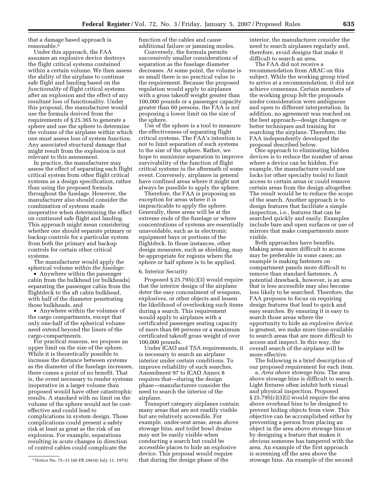that a damage based approach is reasonable.5

Under this approach, the FAA assumes an explosive device destroys the flight critical systems contained within a certain volume. We then assess the ability of the airplane to continue safe flight and landing based on the *functionality* of flight critical systems after an explosion and the effect of any resultant loss of functionality. Under this proposal, the manufacturer would use the formula derived from the requirements of § 25.365 to generate a sphere and use the sphere to determine the volume of the airplane within which one must assess loss of system function. Any associated structural damage that might result from the explosion is not relevant to this assessment.

In practice, the manufacturer may assess the effect of separating each flight critical system from other flight critical systems as a design specification, rather than using the proposed formula throughout the fuselage. However, the manufacturer also should consider the combination of systems made inoperative when determining the effect on continued safe flight and landing. This approach might mean considering whether one should separate primary or backup controls for a particular system from both the primary and backup controls for certain other critical systems.

The manufacturer would apply the spherical volume *within the fuselage:* 

• Anywhere within the passenger cabin from the bulkhead (or bulkheads) separating the passenger cabin from the flightdeck to the aft cabin bulkhead, with half of the diameter penetrating those bulkheads, and

• Anywhere within the volumes of the cargo compartments, except that only one-half of the spherical volume need extend beyond the liners of the cargo-compartments.

For practical reasons, we propose an upper limit on the size of the sphere. While it is theoretically possible to increase the distance between systems as the diameter of the fuselage increases, there comes a point of no benefit. That is, the event necessary to render systems inoperative in a larger volume than proposed would have other catastrophic results. A standard with no limit on the volume of the sphere would not be costeffective and could lead to complications in system design. Those complications could present a safety risk at least as great as the risk of an explosion. For example, separations resulting in acute changes in direction of control cables could complicate the

function of the cables and cause additional failure or jamming modes.

Conversely, the formula permits successively smaller considerations of separation as the fuselage diameter decreases. At some point, the volume is so small there is no practical value to the requirement. Because the proposed regulation would apply to airplanes with a gross takeoff weight greater than 100,000 pounds or a passenger capacity greater than 60 persons, the FAA is not proposing a lower limit on the size of the sphere.

Use of the sphere is a tool to measure the effectiveness of separating flight critical systems. The FAA's intention is not to limit separation of such systems to the size of the sphere. Rather, we hope to *maximize* separation to improve survivability of the function of flight critical systems in the aftermath of some event. Conversely, airplanes in general have confined areas where it might not always be possible to apply the sphere.

Therefore, the FAA is proposing an exception for areas where it is impracticable to apply the sphere. Generally, these areas will be at the extreme ends of the fuselage or where concentrations of systems are essentially unavoidable, such as in electronic equipment bays or portions of the flightdeck. In those instances, other design measures, such as shielding, may be appropriate for regions where the sphere or half sphere is to be applied.

#### 6. Interior Security

Proposed § 25.795(c)(3) would require that the interior design of the airplane deter the easy concealment of weapons, explosives, or other objects and lessen the likelihood of overlooking such items during a search. This requirement would apply to airplanes with a certificated passenger seating capacity of more than 60 persons or a maximum certificated takeoff gross weight of over 100,000 pounds.

Under ICAO and TSA requirements, it is necessary to search an airplane interior under certain conditions. To improve reliability of such searches, Amendment 97 to ICAO Annex 8 requires that—during the design phase—manufacturers consider the need to search the interior of the airplane.

Transport category airplanes contain many areas that are not readily visible but are relatively accessible. For example, under-seat areas, areas above stowage bins, and toilet bowl drains may not be easily visible when conducting a search but could be accessible places to hide an explosive device. This proposal would require that during the design phase of the

interior, the manufacturer consider the need to search airplanes regularly and, therefore, avoid designs that make it difficult to search an area.

The FAA did not receive a recommendation from ARAC on this subject. While the working group tried to arrive at a recommendation, it did not achieve consensus. Certain members of the working group felt the proposals under consideration were ambiguous and open to different interpretation. In addition, no agreement was reached on the best approach—design changes or better techniques and training for searching the airplane. Therefore, the FAA independently developed the proposal described below.

One approach to eliminating hidden devices is to reduce the number of areas where a device can be hidden. For example, the manufacturer could use locks (or other specialty tools) to limit access to certain areas or could remove certain areas from the design altogether. The result would be to reduce the scope of the search. Another approach is to design features that facilitate a simple inspection, i.e., features that can be searched quickly and easily. Examples include bare and open surfaces or use of mirrors that make compartments more visible.

Both approaches have benefits. Making areas more difficult to access may be preferable in some cases; an example is making fasteners on compartment panels more difficult to remove than standard fasteners. A potential drawback, however, is an area that is less accessible may also become less likely to be searched. Therefore, the FAA proposes to focus on requiring design features that lead to quick and easy searches. By ensuring it is easy to search those areas where the opportunity to hide an explosive device is greatest, we make more time available to search areas that are more difficult to access and inspect. In this way, the overall search of the airplane will be more effective.

The following is a brief description of our proposed requirement for each item.

a. *Area above stowage bins.* The area above stowage bins is difficult to search. Light fixtures often inhibit both visual and physical inspection. Proposed § 25.795(c)(3)(i) would require the area above overhead bins to be designed to prevent hiding objects from view. This objective can be accomplished either by preventing a person from placing an object in the area above stowage bins or by designing a feature that makes it obvious someone has tampered with the area. An example of the first approach is screening off the area above the stowage bins. An example of the second

<sup>5</sup>Notice No. 75–31 (40 FR 29410; July 11, 1975).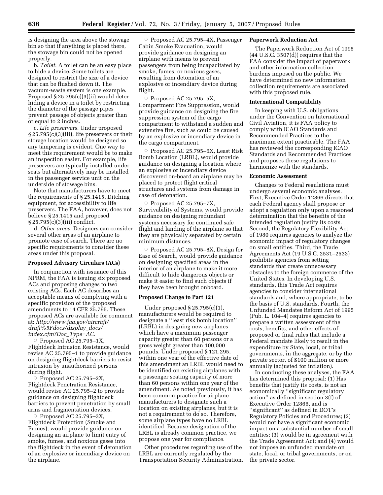is designing the area above the stowage bin so that if anything is placed there, the stowage bin could not be opened properly.

b. *Toilet.* A toilet can be an easy place to hide a device. Some toilets are designed to restrict the size of a device that can be flushed down it. The vacuum-waste system is one example. Proposed § 25.795(c)(3)(ii) would deter hiding a device in a toilet by restricting the diameter of the passage pipes prevent passage of objects greater than or equal to 2 inches.

c. *Life preservers.* Under proposed § 25.795(c)(3)(iii), life preservers or their storage location would be designed so any tampering is evident. One way to meet this requirement would be to make an inspection easier. For example, life preservers are typically installed under seats but alternatively may be installed in the passenger service unit on the underside of stowage bins.

Note that manufacturers have to meet the requirements of § 25.1415, Ditching equipment, for accessibility to life preservers. The FAA, however, does not believe § 25.1415 and proposed § 25.795(c)(3)(iii) conflict.

d. *Other areas.* Designers can consider several other areas of an airplane to promote ease of search. There are no specific requirements to consider these areas under this proposal.

#### **Proposed Advisory Circulars (ACs)**

In conjunction with issuance of this NPRM, the FAA is issuing six proposed ACs and proposing changes to two existing ACs. Each AC describes an acceptable means of complying with a specific provision of the proposed amendments to 14 CFR 25.795. These proposed ACs are available for comment at: *http://www.faa.gov/aircraft/ draft%5Fdocs/display*\_*docs/ index.cfm?Doc*\_*Type=AC*.

 $\circ$  Proposed AC 25.795–1X, Flightdeck Intrusion Resistance, would revise AC 25.795–1 to provide guidance on designing flightdeck barriers to resist intrusion by unauthorized persons during flight.

 $\circ$  Proposed AC 25.795-2X, Flightdeck Penetration Resistance, would revise AC 25.795–2 to provide guidance on designing flightdeck barriers to prevent penetration by small arms and fragmentation devices.

 $\circ$  Proposed AC 25.795-3X, Flightdeck Protection (Smoke and Fumes), would provide guidance on designing an airplane to limit entry of smoke, fumes, and noxious gases into the flightdeck in the event of detonation of an explosive or incendiary device on the airplane.

Æ Proposed AC 25.795–4X, Passenger Cabin Smoke Evacuation, would provide guidance on designing an airplane with means to prevent passengers from being incapacitated by smoke, fumes, or noxious gases, resulting from detonation of an explosive or incendiary device during flight.

 $\circ$  Proposed AC 25.795-5X, Compartment Fire Suppression, would provide guidance on designing the fire suppression system of the cargo compartment to withstand a sudden and extensive fire, such as could be caused by an explosive or incendiary device in the cargo compartment.

Æ Proposed AC 25.795–6X, Least Risk Bomb Location (LRBL), would provide guidance on designing a location where an explosive or incendiary device discovered on-board an airplane may be placed to protect flight critical structures and systems from damage in case of detonation.

Proposed AC 25.795-7X, Survivability of Systems, would provide guidance on designing redundant systems necessary for continued safe flight and landing of the airplane so that they are physically separated by certain minimum distances.

Proposed AC 25.795-8X, Design for Ease of Search, would provide guidance on designing specified areas in the interior of an airplane to make it more difficult to hide dangerous objects or make it easier to find such objects if they have been brought onboard.

#### **Proposed Change to Part 121**

Under proposed § 25.795(c)(1), manufacturers would be required to designate a ''least risk bomb location'' (LRBL) in designing new airplanes which have a maximum passenger capacity greater than 60 persons or a gross weight greater than 100,000 pounds. Under proposed § 121.295, within one year of the effective date of this amendment an LRBL would need to be identified on existing airplanes with a passenger seating capacity of more than 60 persons within one year of the amendment. As noted previously, it has been common practice for airplane manufacturers to designate such a location on existing airplanes, but it is not a requirement to do so. Therefore, some airplane types have no LRBL identified. Because designation of the LRBL is already common practice, we propose one year for compliance.

Other procedures regarding use of the LRBL are currently regulated by the Transportation Security Administration.

#### **Paperwork Reduction Act**

The Paperwork Reduction Act of 1995  $(44$  U.S.C. 3507 $(d)$ ) requires that the FAA consider the impact of paperwork and other information collection burdens imposed on the public. We have determined no new information collection requirements are associated with this proposed rule.

## **International Compatibility**

In keeping with U.S. obligations under the Convention on International Civil Aviation, it is FAA policy to comply with ICAO Standards and Recommended Practices to the maximum extent practicable. The FAA has reviewed the corresponding ICAO Standards and Recommended Practices and proposes these regulations to harmonize with the standards.

#### **Economic Assessment**

Changes to Federal regulations must undergo several economic analyses. First, Executive Order 12866 directs that each Federal agency shall propose or adopt a regulation only upon a reasoned determination that the benefits of the intended regulation justify its costs. Second, the Regulatory Flexibility Act of 1980 requires agencies to analyze the economic impact of regulatory changes on small entities. Third, the Trade Agreements Act (19 U.S.C. 2531–2533) prohibits agencies from setting standards that create unnecessary obstacles to the foreign commerce of the United States. In developing U.S. standards, this Trade Act requires agencies to consider international standards and, where appropriate, to be the basis of U.S. standards. Fourth, the Unfunded Mandates Reform Act of 1995 (Pub. L. 104–4) requires agencies to prepare a written assessment of the costs, benefits, and other effects of proposed or final rules that include a Federal mandate likely to result in the expenditure by State, local, or tribal governments, in the aggregate, or by the private sector, of \$100 million or more annually (adjusted for inflation).

In conducting these analyses, the FAA has determined this proposal: (1) Has benefits that justify its costs, is not an economically ''significant regulatory action'' as defined in section 3(f) of Executive Order 12866, and is ''significant'' as defined in DOT's Regulatory Policies and Procedures; (2) would not have a significant economic impact on a substantial number of small entities; (3) would be in agreement with the Trade Agreement Act; and (4) would not impose an unfunded mandate on state, local, or tribal governments, or on the private sector.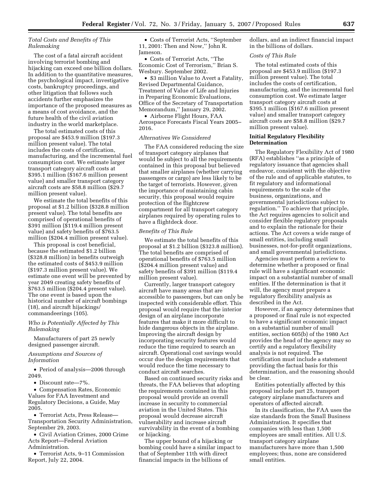# *Total Costs and Benefits of This Rulemaking*

The cost of a fatal aircraft accident involving terrorist bombing and hijacking can exceed one billion dollars. In addition to the quantitative measures, the psychological impact, investigative costs, bankruptcy proceedings, and other litigation that follows such accidents further emphasizes the importance of the proposed measures as a means of cost avoidance, and the future health of the civil aviation industry in the world marketplace.

The total estimated costs of this proposal are \$453.9 million (\$197.3 million present value). The total includes the costs of certification, manufacturing, and the incremental fuel consumption cost. We estimate larger transport category aircraft costs at \$395.1 million (\$167.6 million present value) and smaller transport category aircraft costs are \$58.8 million (\$29.7 million present value).

We estimate the total benefits of this proposal at \$1.2 billion (\$328.8 million present value). The total benefits are comprised of operational benefits of \$391 million (\$119.4 million present value) and safety benefits of \$763.5 million (\$204.4 million present value).

This proposal is cost beneficial, because the estimated \$1.2 billion (\$328.8 million) in benefits outweigh the estimated costs of \$453.9 million (\$197.3 million present value). We estimate one event will be prevented by year 2049 creating safety benefits of \$763.5 million (\$204.4 present value). The one event is based upon the historical number of aircraft bombings (18), and aircraft hijackings/ commandeerings (105).

#### *Who is Potentially Affected by This Rulemaking*

Manufacturers of part 25 newly designed passenger aircraft.

#### *Assumptions and Sources of Information*

• Period of analysis—2006 through 2049.

• Discount rate—7%.

• Compensation Rates, Economic Values for FAA Investment and Regulatory Decisions, a Guide, May 2005.

• Terrorist Acts, Press Release— Transportation Security Administration, September 29, 2003.

• Civil Aviation Crimes, 2000 Crime Acts Report—Federal Aviation Administration.

• Terrorist Acts, 9–11 Commission Report, July 22, 2004.

• Costs of Terrorist Acts, ''September 11, 2001: Then and Now,'' John R. Jameson.

• Costs of Terrorist Acts, ''The Economic Cost of Terrorism,'' Brian S. Wesbury. September 2002.

• \$3 million Value to Avert a Fatality, Revised Departmental Guidance, Treatment of Value of Life and Injuries in Preparing Economic Evaluations, Office of the Secretary of Transportation Memorandum,'' January 29, 2002.

• Airborne Flight Hours, FAA Aerospace Forecasts Fiscal Years 2005– 2016.

# *Alternatives We Considered*

The FAA considered reducing the size of transport category airplanes that would be subject to all the requirements contained in this proposal but believed that smaller airplanes (whether carrying passengers or cargo) are less likely to be the target of terrorists. However, given the importance of maintaining cabin security, this proposal would require protection of the flightcrew compartment for all transport category airplanes required by operating rules to have a flightdeck door.

#### *Benefits of This Rule*

We estimate the total benefits of this proposal at \$1.2 billion (\$323.8 million). The total benefits are comprised of operational benefits of \$763.5 million (\$204.4 million present value) and safety benefits of \$391 million (\$119.4 million present value).

Currently, larger transport category aircraft have many areas that are accessible to passengers, but can only be inspected with considerable effort. This proposal would require that the interior design of an airplane incorporate features that make it more difficult to hide dangerous objects in the airplane. Improving the aircraft design by incorporating security features would reduce the time required to search an aircraft. Operational cost savings would occur due the design requirements that would reduce the time necessary to conduct aircraft searches.

Based on continued security risks and threats, the FAA believes that adopting the requirements contained in this proposal would provide an overall increase in security to commercial aviation in the United States. This proposal would decrease aircraft vulnerability and increase aircraft survivability in the event of a bombing or hijacking.

The upper bound of a hijacking or bombing could have a similar impact to that of September 11th with direct financial impacts in the billions of

dollars, and an indirect financial impact in the billions of dollars.

#### *Costs of This Rule*

The total estimated costs of this proposal are \$453.9 million (\$197.3 million present value). The total includes the costs of certification, manufacturing, and the incremental fuel consumption cost. We estimate larger transport category aircraft costs at \$395.1 million (\$167.6 million present value) and smaller transport category aircraft costs are \$58.8 million (\$29.7 million present value).

#### **Initial Regulatory Flexibility Determination**

The Regulatory Flexibility Act of 1980 (RFA) establishes ''as a principle of regulatory issuance that agencies shall endeavor, consistent with the objective of the rule and of applicable statutes, to fit regulatory and informational requirements to the scale of the business, organizations, and governmental jurisdictions subject to regulation.'' To achieve that principle, the Act requires agencies to solicit and consider flexible regulatory proposals and to explain the rationale for their actions. The Act covers a wide range of small entities, including small businesses, not-for-profit organizations, and small governmental jurisdictions.

Agencies must perform a review to determine whether a proposed or final rule will have a significant economic impact on a substantial number of small entities. If the determination is that it will, the agency must prepare a regulatory flexibility analysis as described in the Act.

However, if an agency determines that a proposed or final rule is not expected to have a significant economic impact on a substantial number of small entities, section 605(b) of the 1980 Act provides the head of the agency may so certify and a regulatory flexibility analysis is not required. The certification must include a statement providing the factual basis for this determination, and the reasoning should be clear.

Entities potentially affected by this proposal include part 25, transport category airplane manufacturers and operators of affected aircraft.

In its classification, the FAA uses the size standards from the Small Business Administration. It specifies that companies with less than 1,500 employees are small entities. All U.S. transport category airplane manufacturers have more than 1,500 employees; thus, none are considered small entities.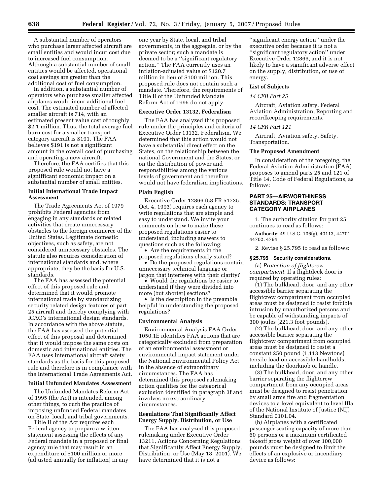A substantial number of operators who purchase larger affected aircraft are small entities and would incur cost due to increased fuel consumption. Although a substantial number of small entities would be affected, operational cost savings are greater than the additional cost of fuel consumption.

In addition, a substantial number of operators who purchase smaller affected airplanes would incur additional fuel cost. The estimated number of affected smaller aircraft is 714, with an estimated present value cost of roughly \$2.1 million. Thus, the total average fuel burn cost for a smaller transport category aircraft is \$191. The FAA believes \$191 is not a significant amount in the overall cost of purchasing and operating a new aircraft.

Therefore, the FAA certifies that this proposed rule would not have a signifficant economic impact on a substantial number of small entities.

# **Initial International Trade Impact Assessment**

The Trade Agreements Act of 1979 prohibits Federal agencies from engaging in any standards or related activities that create unnecessary obstacles to the foreign commerce of the United States. Legitimate domestic objectives, such as safety, are not considered unnecessary obstacles. The statute also requires consideration of international standards and, where appropriate, they be the basis for U.S. standards.

The FAA has assessed the potential effect of this proposed rule and determined that it would promote international trade by standardizing security related design features of part 25 aircraft and thereby complying with ICAO's international design standards. In accordance with the above statute, the FAA has assessed the potential effect of this proposal and determined that it would impose the same costs on domestic and international entities. The FAA uses international aircraft safety standards as the basis for this proposed rule and therefore is in compliance with the International Trade Agreements Act.

#### **Initial Unfunded Mandates Assessment**

The Unfunded Mandates Reform Act of 1995 (the Act) is intended, among other things, to curb the practice of imposing unfunded Federal mandates on State, local, and tribal governments.

Title II of the Act requires each Federal agency to prepare a written statement assessing the effects of any Federal mandate in a proposed or final agency rule that may result in an expenditure of \$100 million or more (adjusted annually for inflation) in any

one year by State, local, and tribal governments, in the aggregate, or by the private sector; such a mandate is deemed to be a ''significant regulatory action.'' The FAA currently uses an inflation-adjusted value of \$120.7 million in lieu of \$100 million. This proposed rule does not contain such a mandate. Therefore, the requirements of Title II of the Unfunded Mandate Reform Act of 1995 do not apply.

#### **Executive Order 13132, Federalism**

The FAA has analyzed this proposed rule under the principles and criteria of Executive Order 13132, Federalism. We determined that this action would not have a substantial direct effect on the States, on the relationship between the national Government and the States, or on the distribution of power and responsibilities among the various levels of government and therefore would not have federalism implications.

#### **Plain English**

Executive Order 12866 (58 FR 51735, Oct. 4, 1993) requires each agency to write regulations that are simple and easy to understand. We invite your comments on how to make these proposed regulations easier to understand, including answers to questions such as the following:

• Are the requirements in the proposed regulations clearly stated?

• Do the proposed regulations contain unnecessary technical language or jargon that interferes with their clarity?

• Would the regulations be easier to understand if they were divided into more (but shorter) sections?

• Is the description in the preamble helpful in understanding the proposed regulations?

#### **Environmental Analysis**

Environmental Analysis FAA Order 1050.1E identifies FAA actions that are categorically excluded from preparation of an environmental assessment or environmental impact statement under the National Environmental Policy Act in the absence of extraordinary circumstances. The FAA has determined this proposed rulemaking action qualifies for the categorical exclusion identified in paragraph 3f and involves no extraordinary circumstances.

#### **Regulations That Significantly Affect Energy Supply, Distribution, or Use**

The FAA has analyzed this proposed rulemaking under Executive Order 13211, Actions Concerning Regulations that Significantly Affect Energy Supply, Distribution, or Use (May 18, 2001). We have determined that it is not a

''significant energy action'' under the executive order because it is not a ''significant regulatory action'' under Executive Order 12866, and it is not likely to have a significant adverse effect on the supply, distribution, or use of energy.

#### **List of Subjects**

#### *14 CFR Part 25*

Aircraft, Aviation safety, Federal Aviation Administration, Reporting and recordkeeping requirements.

# *14 CFR Part 121*

Aircraft, Aviation safety, Safety, Transportation.

#### **The Proposed Amendment**

In consideration of the foregoing, the Federal Aviation Administration (FAA) proposes to amend parts 25 and 121 of Title 14, Code of Federal Regulations, as follows:

# **PART 25—AIRWORTHINESS STANDARDS: TRANSPORT CATEGORY AIRPLANES**

1. The authority citation for part 25 continues to read as follows:

**Authority:** 49 U.S.C. 106(g), 40113, 44701, 44702, 4794.

2. Revise § 25.795 to read as follows:

#### **§ 25.795 Security considerations.**

(a) *Protection of flightcrew compartment.* If a flightdeck door is required by operating rules:

(1) The bulkhead, door, and any other accessible barrier separating the flightcrew compartment from occupied areas must be designed to resist forcible intrusion by unauthorized persons and be capable of withstanding impacts of 300 joules (221.3 foot pounds).

(2) The bulkhead, door, and any other accessible barrier separating the flightcrew compartment from occupied areas must be designed to resist a constant 250 pound (1,113 Newtons) tensile load on accessible handholds, including the doorknob or handle.

(3) The bulkhead, door, and any other barrier separating the flightcrew compartment from any occupied areas must be designed to resist penetration by small arms fire and fragmentation devices to a level equivalent to level IIIa of the National Institute of Justice (NIJ) Standard 0101.04.

(b) Airplanes with a certificated passenger seating capacity of more than 60 persons or a maximum certificated takeoff gross weight of over 100,000 pounds must be designed to limit the effects of an explosive or incendiary device as follows: